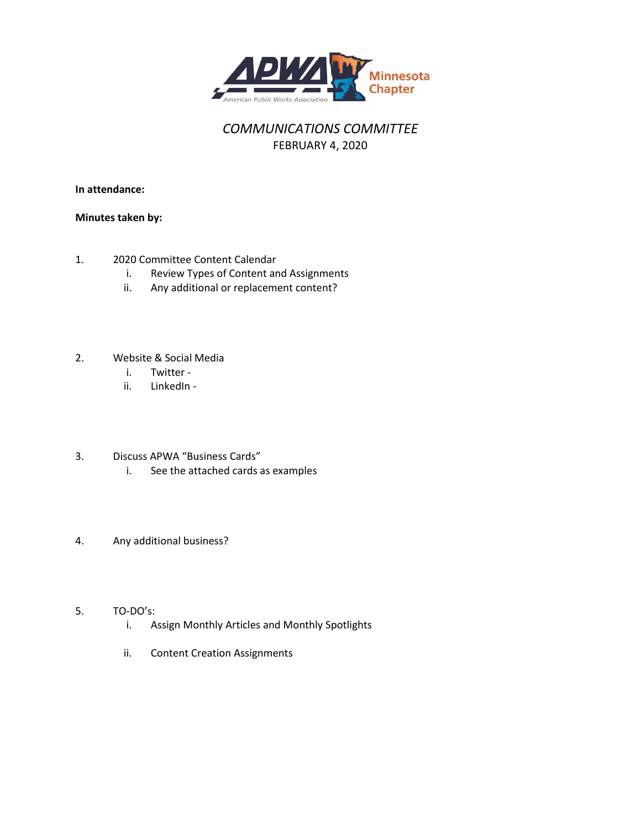

### *COMMUNICATIONS COMMITTEE* FEBRUARY 4, 2020

**In attendance:**

#### **Minutes taken by:**

- 1. 2020 Committee Content Calendar
	- i. Review Types of Content and Assignments
	- ii. Any additional or replacement content?
- 2. Website & Social Media
	- i. Twitter -
	- ii. LinkedIn -
- 3. Discuss APWA "Business Cards"
	- i. See the attached cards as examples
- 4. Any additional business?

#### 5. TO-DO's:

- i. Assign Monthly Articles and Monthly Spotlights
- ii. Content Creation Assignments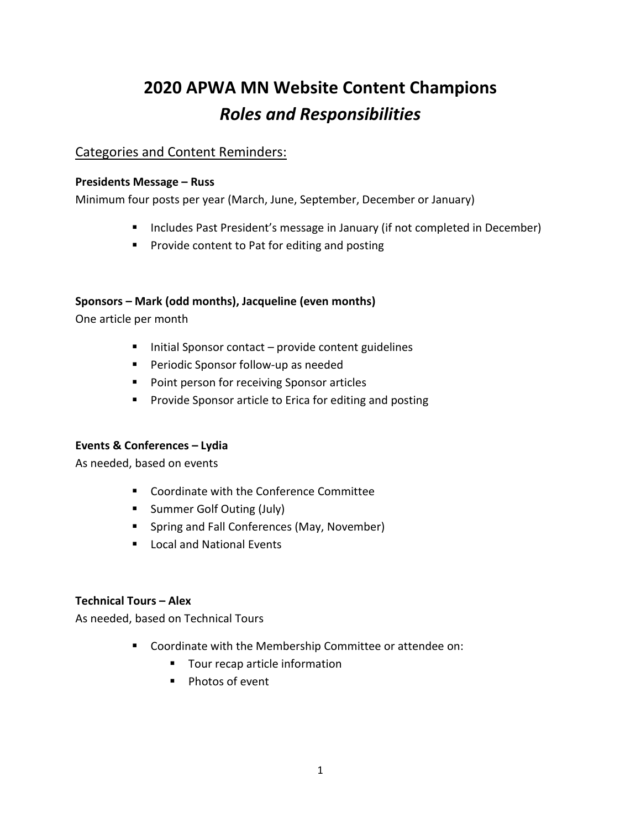# **2020 APWA MN Website Content Champions** *Roles and Responsibilities*

### Categories and Content Reminders:

#### **Presidents Message – Russ**

Minimum four posts per year (March, June, September, December or January)

- **Includes Past President's message in January (if not completed in December)**
- **Provide content to Pat for editing and posting**

#### **Sponsors – Mark (odd months), Jacqueline (even months)**

One article per month

- $\blacksquare$  Initial Sponsor contact provide content guidelines
- **Periodic Sponsor follow-up as needed**
- **Point person for receiving Sponsor articles**
- **Provide Sponsor article to Erica for editing and posting**

#### **Events & Conferences – Lydia**

As needed, based on events

- **EXECOORDINATE:** Coordinate with the Conference Committee
- **Summer Golf Outing (July)**
- **Spring and Fall Conferences (May, November)**
- **Local and National Events**

#### **Technical Tours – Alex**

As needed, based on Technical Tours

- Coordinate with the Membership Committee or attendee on:
	- Tour recap article information
	- **Photos of event**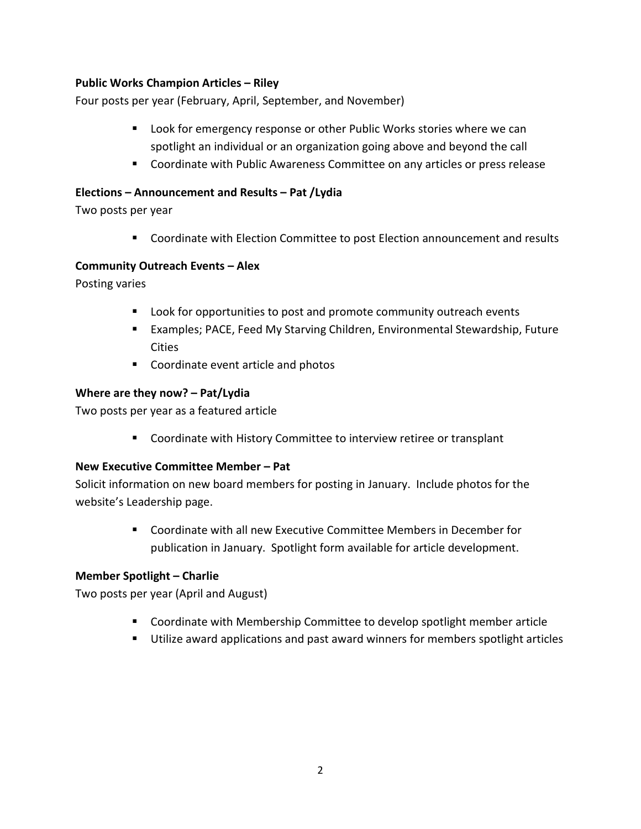#### **Public Works Champion Articles – Riley**

Four posts per year (February, April, September, and November)

- Look for emergency response or other Public Works stories where we can spotlight an individual or an organization going above and beyond the call
- **Coordinate with Public Awareness Committee on any articles or press release**

#### **Elections – Announcement and Results – Pat /Lydia**

Two posts per year

Coordinate with Election Committee to post Election announcement and results

#### **Community Outreach Events – Alex**

Posting varies

- **Look for opportunities to post and promote community outreach events**
- Examples; PACE, Feed My Starving Children, Environmental Stewardship, Future Cities
- Coordinate event article and photos

#### **Where are they now? – Pat/Lydia**

Two posts per year as a featured article

Coordinate with History Committee to interview retiree or transplant

#### **New Executive Committee Member – Pat**

Solicit information on new board members for posting in January. Include photos for the website's Leadership page.

> Coordinate with all new Executive Committee Members in December for publication in January. Spotlight form available for article development.

#### **Member Spotlight – Charlie**

Two posts per year (April and August)

- **EXP** Coordinate with Membership Committee to develop spotlight member article
- **Utilize award applications and past award winners for members spotlight articles**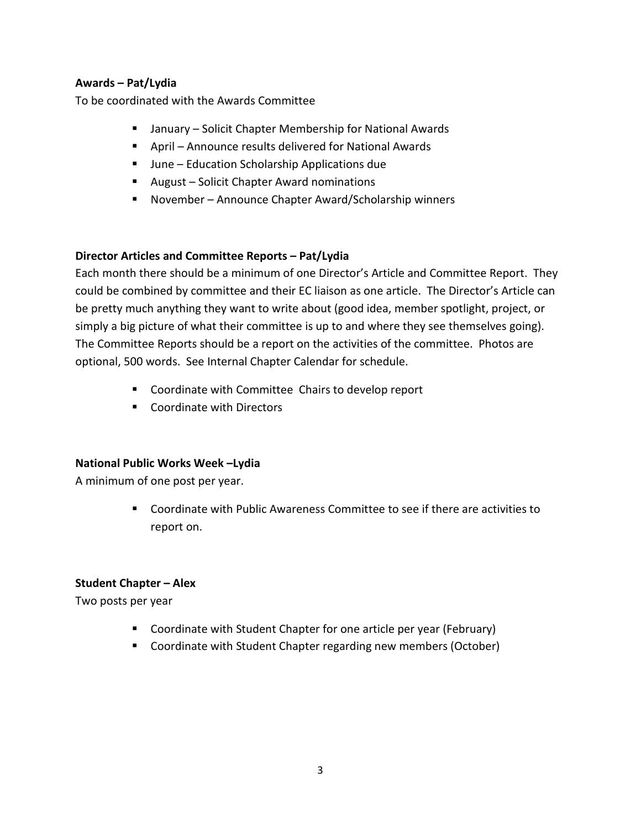#### **Awards – Pat/Lydia**

To be coordinated with the Awards Committee

- January Solicit Chapter Membership for National Awards
- April Announce results delivered for National Awards
- June Education Scholarship Applications due
- August Solicit Chapter Award nominations
- November Announce Chapter Award/Scholarship winners

#### **Director Articles and Committee Reports – Pat/Lydia**

Each month there should be a minimum of one Director's Article and Committee Report. They could be combined by committee and their EC liaison as one article. The Director's Article can be pretty much anything they want to write about (good idea, member spotlight, project, or simply a big picture of what their committee is up to and where they see themselves going). The Committee Reports should be a report on the activities of the committee. Photos are optional, 500 words. See Internal Chapter Calendar for schedule.

- Coordinate with Committee Chairs to develop report
- Coordinate with Directors

#### **National Public Works Week –Lydia**

A minimum of one post per year.

 Coordinate with Public Awareness Committee to see if there are activities to report on.

#### **Student Chapter – Alex**

Two posts per year

- **Coordinate with Student Chapter for one article per year (February)**
- Coordinate with Student Chapter regarding new members (October)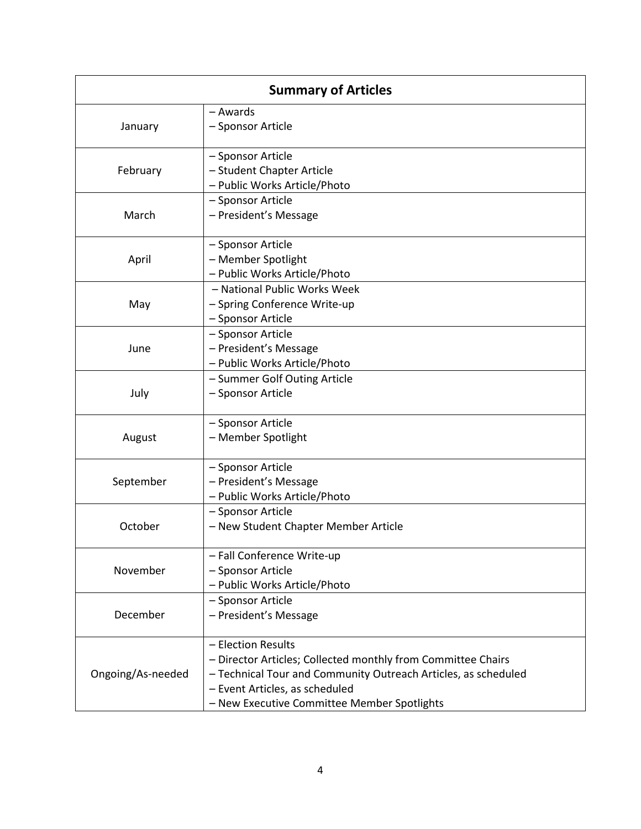| <b>Summary of Articles</b> |                                                                |  |
|----------------------------|----------------------------------------------------------------|--|
|                            | - Awards                                                       |  |
| January                    | - Sponsor Article                                              |  |
| February                   | - Sponsor Article                                              |  |
|                            | - Student Chapter Article                                      |  |
|                            | - Public Works Article/Photo                                   |  |
| March                      | - Sponsor Article                                              |  |
|                            | - President's Message                                          |  |
| April                      | - Sponsor Article                                              |  |
|                            | - Member Spotlight                                             |  |
|                            | - Public Works Article/Photo                                   |  |
| May                        | - National Public Works Week                                   |  |
|                            | - Spring Conference Write-up                                   |  |
|                            | - Sponsor Article                                              |  |
| June                       | - Sponsor Article                                              |  |
|                            | - President's Message                                          |  |
|                            | - Public Works Article/Photo                                   |  |
| July                       | - Summer Golf Outing Article                                   |  |
|                            | - Sponsor Article                                              |  |
|                            | - Sponsor Article                                              |  |
| August                     | - Member Spotlight                                             |  |
| September                  | - Sponsor Article                                              |  |
|                            | - President's Message                                          |  |
|                            | - Public Works Article/Photo                                   |  |
| October                    | - Sponsor Article                                              |  |
|                            | - New Student Chapter Member Article                           |  |
| November                   | - Fall Conference Write-up                                     |  |
|                            | - Sponsor Article                                              |  |
|                            | - Public Works Article/Photo                                   |  |
| December                   | - Sponsor Article                                              |  |
|                            | - President's Message                                          |  |
| Ongoing/As-needed          | - Election Results                                             |  |
|                            | - Director Articles; Collected monthly from Committee Chairs   |  |
|                            | - Technical Tour and Community Outreach Articles, as scheduled |  |
|                            | - Event Articles, as scheduled                                 |  |
|                            | - New Executive Committee Member Spotlights                    |  |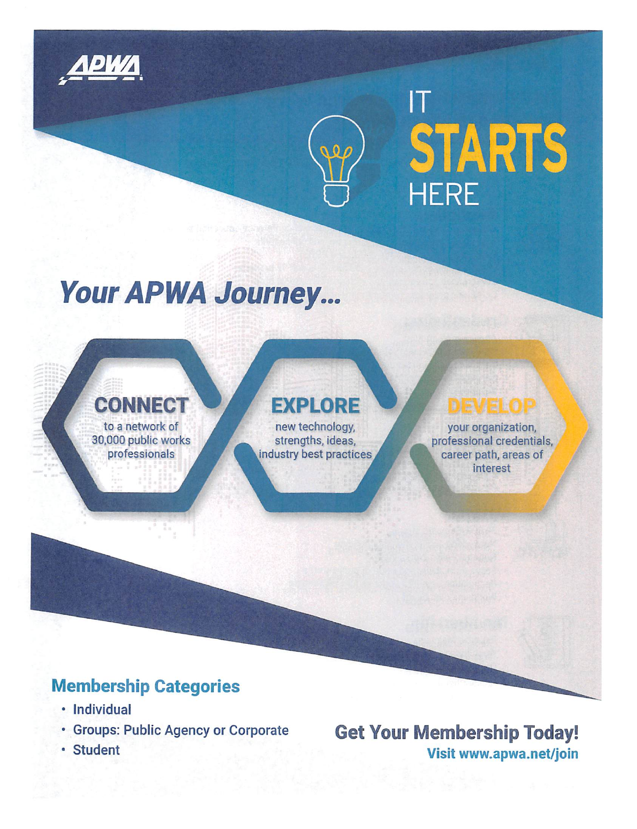

 $\boldsymbol{\mathsf{T}}$ 

# **Your APWA Journey...**

## **CONNECT** to a network of

30,000 public works professionals

# **EXPLORE**

new technology, strengths, ideas, industry best practices

# **DEVELOP**

STARTS

your organization, professional credentials, career path, areas of interest

## **Membership Categories**

- · Individual
- · Groups: Public Agency or Corporate
- · Student

**Get Your Membership Today!** Visit www.apwa.net/join